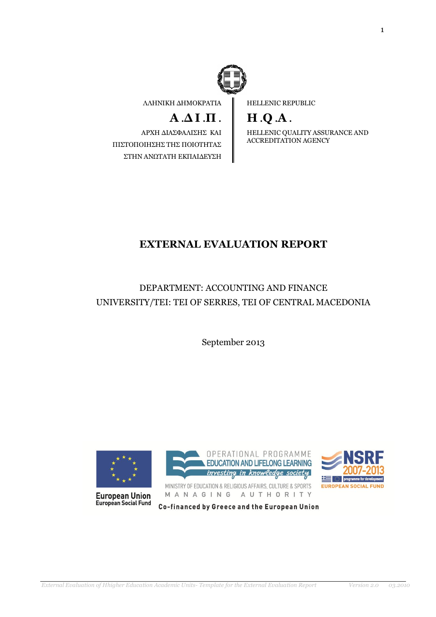

ΛΛΗΝΙΚΗ ΔΗΜΟΚΡΑΤΙΑ

# **Α** .**Δ Ι** .**Π** .

ΑΡΧΗ ΔΙΑΣΦΑΛΙΣΗΣ ΚΑΙ ΠΙΣΤΟΠΟΙΗΣΗΣ ΤΗΣ ΠΟΙΟΤΗΤΑΣ ΣΤΗΝ ΑΝΩΤΑΤΗ ΕΚΠΑΙΔΕΥΣΗ HELLENIC REPUBLIC

# **H** .**Q** .**A** .

HELLENIC QUALITY ASSURANCE AND ACCREDITATION AGENCY

# **EXTERNAL EVALUATION REPORT**

DEPARTMENT: ACCOUNTING AND FINANCE UNIVERSITY/TEI: TEI OF SERRES, TEI OF CENTRAL MACEDONIA

September 2013



**European Union**<br>European Social Fund



MINISTRY OF EDUCATION & RELIGIOUS AFFAIRS, CULTURE & SPORTS MANAGING AUTHORITY



Co-financed by Greece and the European Union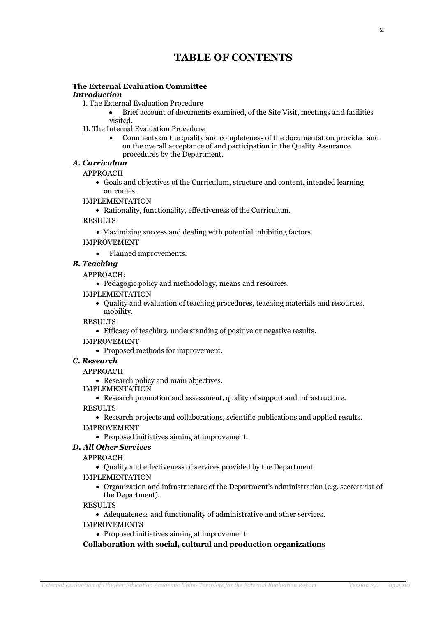# **TABLE OF CONTENTS**

# **The External Evaluation Committee**

### *Introduction*

I. The External Evaluation Procedure

- Brief account of documents examined, of the Site Visit, meetings and facilities visited.
- II. The Internal Evaluation Procedure
	- Comments on the quality and completeness of the documentation provided and on the overall acceptance of and participation in the Quality Assurance procedures by the Department.
- *Α. Curriculum*

APPROACH

- Goals and objectives of the Curriculum, structure and content, intended learning outcomes.
- IMPLEMENTATION
	- Rationality, functionality, effectiveness of the Curriculum.

**RESULTS** 

Maximizing success and dealing with potential inhibiting factors.

IMPROVEMENT

• Planned improvements.

### *B. Teaching*

APPROACH:

- Pedagogic policy and methodology, means and resources.
- IMPLEMENTATION
	- Quality and evaluation of teaching procedures, teaching materials and resources, mobility.

RESULTS

Efficacy of teaching, understanding of positive or negative results.

IMPROVEMENT

• Proposed methods for improvement.

# *C. Research*

#### APPROACH

• Research policy and main objectives.

IMPLEMENTATION

Research promotion and assessment, quality of support and infrastructure.

RESULTS

 Research projects and collaborations, scientific publications and applied results. IMPROVEMENT

Proposed initiatives aiming at improvement.

# *D. All Other Services*

APPROACH

Quality and effectiveness of services provided by the Department.

IMPLEMENTATION

 Organization and infrastructure of the Department's administration (e.g. secretariat of the Department).

RESULTS

- Adequateness and functionality of administrative and other services.
- IMPROVEMENTS
	- Proposed initiatives aiming at improvement.

# **Collaboration with social, cultural and production organizations**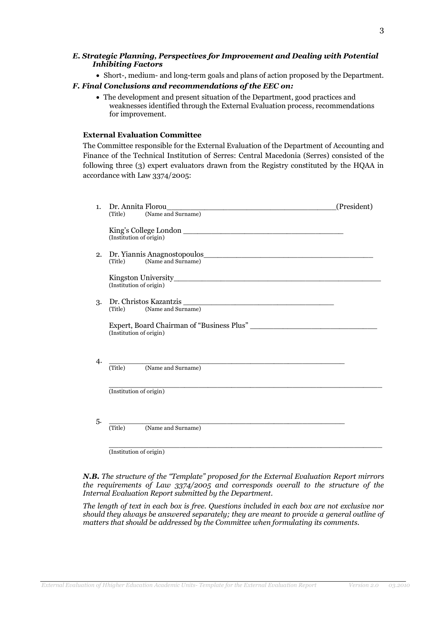#### *E. Strategic Planning, Perspectives for Improvement and Dealing with Potential Inhibiting Factors*

- Short-, medium- and long-term goals and plans of action proposed by the Department. *F. Final Conclusions and recommendations of the EEC on:*
	- The development and present situation of the Department, good practices and weaknesses identified through the External Evaluation process, recommendations for improvement.

#### **External Evaluation Committee**

The Committee responsible for the External Evaluation of the Department of Accounting and Finance of the Technical Institution of Serres: Central Macedonia (Serres) consisted of the following three (3) expert evaluators drawn from the Registry constituted by the HQAA in accordance with Law 3374/2005:

| 1.  | Dr. Annita Florou<br>(Title) (Name and Surname)                                                     | (President) |
|-----|-----------------------------------------------------------------------------------------------------|-------------|
|     | (Institution of origin)                                                                             |             |
| 2.  | (Title) (Name and Surname)                                                                          |             |
|     | (Institution of origin)                                                                             |             |
| 3.  | Dr. Christos Kazantzis<br>(Title) (Name and Surname)                                                |             |
|     | (Institution of origin)                                                                             |             |
| 4.  | (Title) (Name and Surname)                                                                          |             |
|     | (Institution of origin)                                                                             |             |
| .5. | <u> 1989 - Jan Samuel Barbara, margaret eta idazlea (h. 1989).</u><br>(Name and Surname)<br>(Title) |             |
|     | (Institution of origin)                                                                             |             |

*N.B. The structure of the "Template" proposed for the External Evaluation Report mirrors the requirements of Law 3374/2005 and corresponds overall to the structure of the Internal Evaluation Report submitted by the Department.*

*The length of text in each box is free. Questions included in each box are not exclusive nor should they always be answered separately; they are meant to provide a general outline of matters that should be addressed by the Committee when formulating its comments.*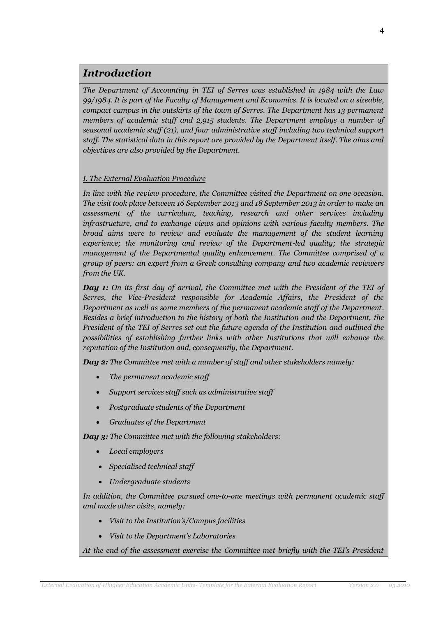# *Introduction*

*The Department of Accounting in TEI of Serres was established in 1984 with the Law 99/1984. It is part of the Faculty of Management and Economics. It is located on a sizeable, compact campus in the outskirts of the town of Serres. The Department has 13 permanent members of academic staff and 2,915 students. The Department employs a number of seasonal academic staff (21), and four administrative staff including two technical support staff. The statistical data in this report are provided by the Department itself. The aims and objectives are also provided by the Department.* 

### *I. The External Evaluation Procedure*

*In line with the review procedure, the Committee visited the Department on one occasion. The visit took place between 16 September 2013 and 18 September 2013 in order to make an assessment of the curriculum, teaching, research and other services including infrastructure, and to exchange views and opinions with various faculty members. The broad aims were to review and evaluate the management of the student learning experience; the monitoring and review of the Department-led quality; the strategic management of the Departmental quality enhancement. The Committee comprised of a group of peers: an expert from a Greek consulting company and two academic reviewers from the UK.*

*Day 1: On its first day of arrival, the Committee met with the President of the TEI of Serres, the Vice-President responsible for Academic Affairs, the President of the Department as well as some members of the permanent academic staff of the Department. Besides a brief introduction to the history of both the Institution and the Department, the President of the TEI of Serres set out the future agenda of the Institution and outlined the possibilities of establishing further links with other Institutions that will enhance the reputation of the Institution and, consequently, the Department.* 

*Day 2: The Committee met with a number of staff and other stakeholders namely:*

- *The permanent academic staff*
- *Support services staff such as administrative staff*
- *Postgraduate students of the Department*
- *Graduates of the Department*

*Day 3: The Committee met with the following stakeholders:*

- *Local employers*
- *Specialised technical staff*
- *Undergraduate students*

*In addition, the Committee pursued one-to-one meetings with permanent academic staff and made other visits, namely:*

- *Visit to the Institution's/Campus facilities*
- *Visit to the Department's Laboratories*

*At the end of the assessment exercise the Committee met briefly with the TEI's President*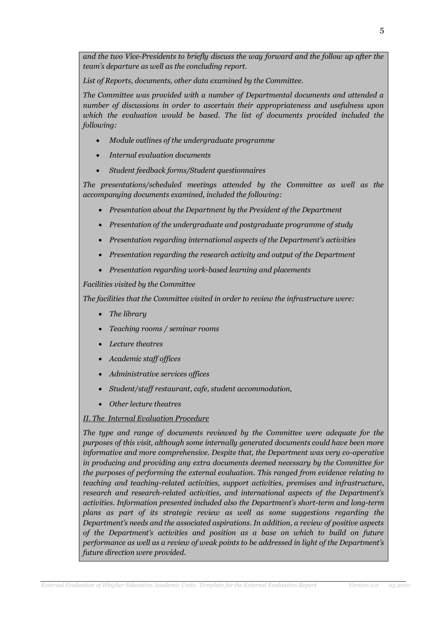*and the two Vice-Presidents to briefly discuss the way forward and the follow up after the team's departure as well as the concluding report.*

*List of Reports, documents, other data examined by the Committee.* 

*The Committee was provided with a number of Departmental documents and attended a number of discussions in order to ascertain their appropriateness and usefulness upon*  which the evaluation would be based. The list of documents provided included the *following:*

- *Module outlines of the undergraduate programme*
- *Internal evaluation documents*
- *Student feedback forms/Student questionnaires*

*The presentations/scheduled meetings attended by the Committee as well as the accompanying documents examined, included the following:*

- *Presentation about the Department by the President of the Department*
- *Presentation of the undergraduate and postgraduate programme of study*
- *Presentation regarding international aspects of the Department's activities*
- *Presentation regarding the research activity and output of the Department*
- *Presentation regarding work-based learning and placements*

*Facilities visited by the Committee* 

*The facilities that the Committee visited in order to review the infrastructure were:*

- *The library*
- *Teaching rooms / seminar rooms*
- *Lecture theatres*
- *Academic staff offices*
- *Administrative services offices*
- *Student/staff restaurant, cafe, student accommodation,*
- *Other lecture theatres*

#### *II. The Internal Evaluation Procedure*

*The type and range of documents reviewed by the Committee were adequate for the purposes of this visit, although some internally generated documents could have been more informative and more comprehensive. Despite that, the Department was very co-operative in producing and providing any extra documents deemed necessary by the Committee for the purposes of performing the external evaluation. This ranged from evidence relating to teaching and teaching-related activities, support activities, premises and infrastructure, research and research-related activities, and international aspects of the Department's activities. Information presented included also the Department's short-term and long-term plans as part of its strategic review as well as some suggestions regarding the Department's needs and the associated aspirations. In addition, a review of positive aspects of the Department's activities and position as a base on which to build on future performance as well as a review of weak points to be addressed in light of the Department's future direction were provided.*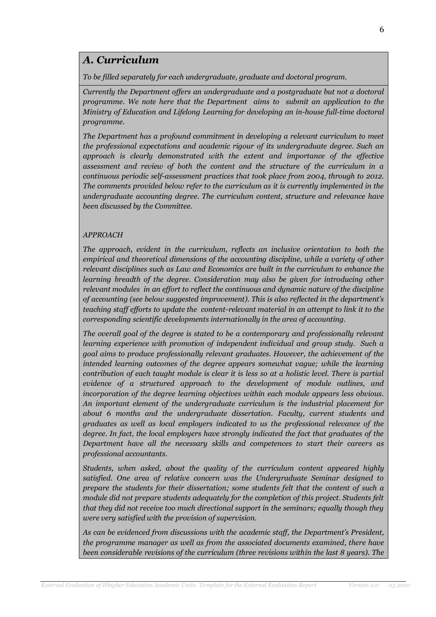# *Α. Curriculum*

*To be filled separately for each undergraduate, graduate and doctoral program.*

*Currently the Department offers an undergraduate and a postgraduate but not a doctoral programme. We note here that the Department aims to submit an application to the Ministry of Education and Lifelong Learning for developing an in-house full-time doctoral programme.*

*The Department has a profound commitment in developing a relevant curriculum to meet the professional expectations and academic rigour of its undergraduate degree. Such an approach is clearly demonstrated with the extent and importance of the effective assessment and review of both the content and the structure of the curriculum in a continuous periodic self-assessment practices that took place from 2004, through to 2012. The comments provided below refer to the curriculum as it is currently implemented in the undergraduate accounting degree. The curriculum content, structure and relevance have been discussed by the Committee.*

# *APPROACH*

*The approach, evident in the curriculum, reflects an inclusive orientation to both the empirical and theoretical dimensions of the accounting discipline, while a variety of other relevant disciplines such as Law and Economics are built in the curriculum to enhance the learning breadth of the degree. Consideration may also be given for introducing other relevant modules in an effort to reflect the continuous and dynamic nature of the discipline of accounting (see below suggested improvement). This is also reflected in the department's teaching staff efforts to update the content-relevant material in an attempt to link it to the corresponding scientific developments internationally in the area of accounting.*

*The overall goal of the degree is stated to be a contemporary and professionally relevant learning experience with promotion of independent individual and group study. Such a goal aims to produce professionally relevant graduates. However, the achievement of the intended learning outcomes of the degree appears somewhat vague; while the learning contribution of each taught module is clear it is less so at a holistic level. There is partial evidence of a structured approach to the development of module outlines, and incorporation of the degree learning objectives within each module appears less obvious. An important element of the undergraduate curriculum is the industrial placement for about 6 months and the undergraduate dissertation. Faculty, current students and graduates as well as local employers indicated to us the professional relevance of the degree. In fact, the local employers have strongly indicated the fact that graduates of the Department have all the necessary skills and competences to start their careers as professional accountants.* 

*Students, when asked, about the quality of the curriculum content appeared highly satisfied. One area of relative concern was the Undergraduate Seminar designed to prepare the students for their dissertation; some students felt that the content of such a module did not prepare students adequately for the completion of this project. Students felt that they did not receive too much directional support in the seminars; equally though they were very satisfied with the provision of supervision.*

*As can be evidenced from discussions with the academic staff, the Department's President, the programme manager as well as from the associated documents examined, there have been considerable revisions of the curriculum (three revisions within the last 8 years). The*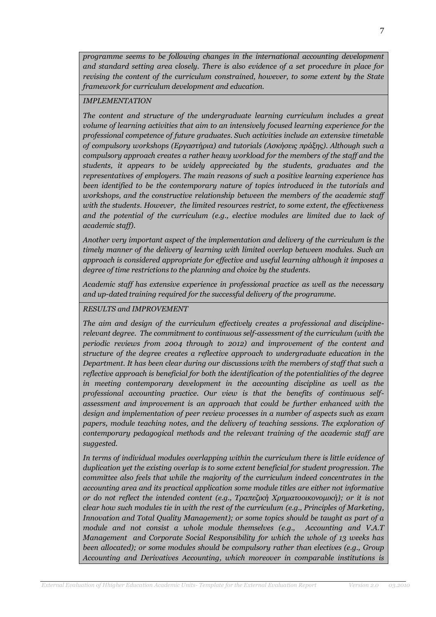*programme seems to be following changes in the international accounting development and standard setting area closely. There is also evidence of a set procedure in place for revising the content of the curriculum constrained, however, to some extent by the State framework for curriculum development and education.*

### *IMPLEMENTATION*

*The content and structure of the undergraduate learning curriculum includes a great volume of learning activities that aim to an intensively focused learning experience for the professional competence of future graduates. Such activities include an extensive timetable of compulsory workshops (Εργαστήρια) and tutorials (Ασκήσεις πράξης). Although such a compulsory approach creates a rather heavy workload for the members of the staff and the students, it appears to be widely appreciated by the students, graduates and the representatives of employers. The main reasons of such a positive learning experience has been identified to be the contemporary nature of topics introduced in the tutorials and workshops, and the constructive relationship between the members of the academic staff with the students. However, the limited resources restrict, to some extent, the effectiveness and the potential of the curriculum (e.g., elective modules are limited due to lack of academic staff).* 

*Another very important aspect of the implementation and delivery of the curriculum is the timely manner of the delivery of learning with limited overlap between modules. Such an approach is considered appropriate for effective and useful learning although it imposes a degree of time restrictions to the planning and choice by the students.* 

*Academic staff has extensive experience in professional practice as well as the necessary and up-dated training required for the successful delivery of the programme.*

# *RESULTS and IMPROVEMENT*

*The aim and design of the curriculum effectively creates a professional and disciplinerelevant degree. The commitment to continuous self-assessment of the curriculum (with the periodic reviews from 2004 through to 2012) and improvement of the content and structure of the degree creates a reflective approach to undergraduate education in the Department. It has been clear during our discussions with the members of staff that such a reflective approach is beneficial for both the identification of the potentialities of the degree in meeting contemporary development in the accounting discipline as well as the professional accounting practice. Our view is that the benefits of continuous selfassessment and improvement is an approach that could be further enhanced with the design and implementation of peer review processes in a number of aspects such as exam*  papers, module teaching notes, and the delivery of teaching sessions. The exploration of *contemporary pedagogical methods and the relevant training of the academic staff are suggested.* 

*In terms of individual modules overlapping within the curriculum there is little evidence of duplication yet the existing overlap is to some extent beneficial for student progression. The committee also feels that while the majority of the curriculum indeed concentrates in the accounting area and its practical application some module titles are either not informative or do not reflect the intended content (e.g., Τραπεζική Χρηματοοικονομική); or it is not clear how such modules tie in with the rest of the curriculum (e.g., Principles of Marketing, Innovation and Total Quality Management); or some topics should be taught as part of a module and not consist a whole module themselves (e.g., Accounting and V.A.T Management and Corporate Social Responsibility for which the whole of 13 weeks has been allocated); or some modules should be compulsory rather than electives (e.g., Group Accounting and Derivatives Accounting, which moreover in comparable institutions is*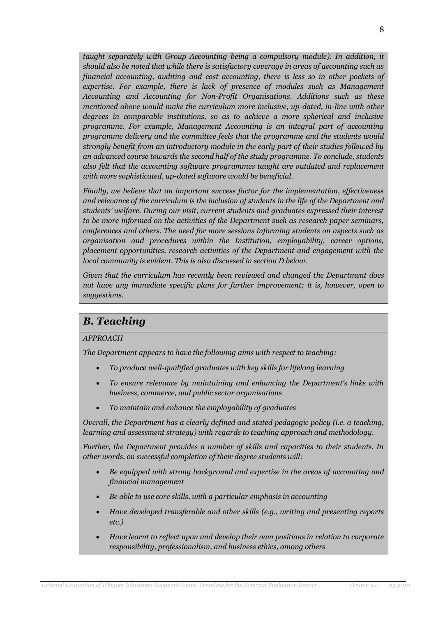*taught separately with Group Accounting being a compulsory module). In addition, it should also be noted that while there is satisfactory coverage in areas of accounting such as financial accounting, auditing and cost accounting, there is less so in other pockets of expertise. For example, there is lack of presence of modules such as Management Accounting and Accounting for Non-Profit Organisations. Additions such as these mentioned above would make the curriculum more inclusive, up-dated, in-line with other degrees in comparable institutions, so as to achieve a more spherical and inclusive programme. For example, Management Accounting is an integral part of accounting programme delivery and the committee feels that the programme and the students would strongly benefit from an introductory module in the early part of their studies followed by an advanced course towards the second half of the study programme. To conclude, students also felt that the accounting software programmes taught are outdated and replacement with more sophisticated, up-dated software would be beneficial.*

*Finally, we believe that an important success factor for the implementation, effectiveness and relevance of the curriculum is the inclusion of students in the life of the Department and students' welfare. During our visit, current students and graduates expressed their interest to be more informed on the activities of the Department such as research paper seminars, conferences and others. The need for more sessions informing students on aspects such as organisation and procedures within the Institution, employability, career options, placement opportunities, research activities of the Department and engagement with the local community is evident. This is also discussed in section D below.* 

*Given that the curriculum has recently been reviewed and changed the Department does not have any immediate specific plans for further improvement; it is, however, open to suggestions.*

# *B. Teaching*

# *APPROACH*

*The Department appears to have the following aims with respect to teaching:*

- *To produce well-qualified graduates with key skills for lifelong learning*
- *To ensure relevance by maintaining and enhancing the Department's links with business, commerce, and public sector organisations*
- *To maintain and enhance the employability of graduates*

*Overall, the Department has a clearly defined and stated pedagogic policy (i.e. a teaching, learning and assessment strategy) with regards to teaching approach and methodology.* 

*Further, the Department provides a number of skills and capacities to their students. In other words, on successful completion of their degree students will:*

- *Be equipped with strong background and expertise in the areas of accounting and financial management*
- *Be able to use core skills, with a particular emphasis in accounting*
- *Have developed transferable and other skills (e.g., writing and presenting reports etc.)*
- *Have learnt to reflect upon and develop their own positions in relation to corporate responsibility, professionalism, and business ethics, among others*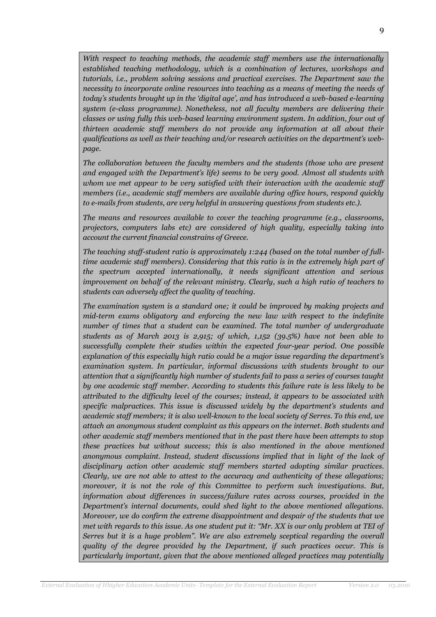With respect to teaching methods, the academic staff members use the internationally *established teaching methodology, which is a combination of lectures, workshops and tutorials, i.e., problem solving sessions and practical exercises. The Department saw the necessity to incorporate online resources into teaching as a means of meeting the needs of today's students brought up in the 'digital age', and has introduced a web-based e-learning system (e-class programme). Nonetheless, not all faculty members are delivering their classes or using fully this web-based learning environment system. In addition, four out of thirteen academic staff members do not provide any information at all about their qualifications as well as their teaching and/or research activities on the department's webpage.* 

*The collaboration between the faculty members and the students (those who are present and engaged with the Department's life) seems to be very good. Almost all students with whom we met appear to be very satisfied with their interaction with the academic staff members (i.e., academic staff members are available during office hours, respond quickly to e-mails from students, are very helpful in answering questions from students etc.).*

*The means and resources available to cover the teaching programme (e.g., classrooms, projectors, computers labs etc) are considered of high quality, especially taking into account the current financial constrains of Greece.* 

*The teaching staff-student ratio is approximately 1:244 (based on the total number of fulltime academic staff members). Considering that this ratio is in the extremely high part of the spectrum accepted internationally, it needs significant attention and serious improvement on behalf of the relevant ministry. Clearly, such a high ratio of teachers to students can adversely affect the quality of teaching.* 

*The examination system is a standard one; it could be improved by making projects and mid-term exams obligatory and enforcing the new law with respect to the indefinite number of times that a student can be examined. The total number of undergraduate students as of March 2013 is 2,915; of which, 1,152 (39.5%) have not been able to successfully complete their studies within the expected four-year period. One possible explanation of this especially high ratio could be a major issue regarding the department's examination system. In particular, informal discussions with students brought to our attention that a significantly high number of students fail to pass a series of courses taught by one academic staff member. According to students this failure rate is less likely to be attributed to the difficulty level of the courses; instead, it appears to be associated with specific malpractices. This issue is discussed widely by the department's students and academic staff members; it is also well-known to the local society of Serres. To this end, we attach an anonymous student complaint as this appears on the internet. Both students and other academic staff members mentioned that in the past there have been attempts to stop these practices but without success; this is also mentioned in the above mentioned anonymous complaint. Instead, student discussions implied that in light of the lack of disciplinary action other academic staff members started adopting similar practices. Clearly, we are not able to attest to the accuracy and authenticity of these allegations; moreover, it is not the role of this Committee to perform such investigations. But, information about differences in success/failure rates across courses, provided in the Department's internal documents, could shed light to the above mentioned allegations. Moreover, we do confirm the extreme disappointment and despair of the students that we met with regards to this issue. As one student put it: "Mr. XX is our only problem at TEI of Serres but it is a huge problem". We are also extremely sceptical regarding the overall quality of the degree provided by the Department, if such practices occur. This is particularly important, given that the above mentioned alleged practices may potentially*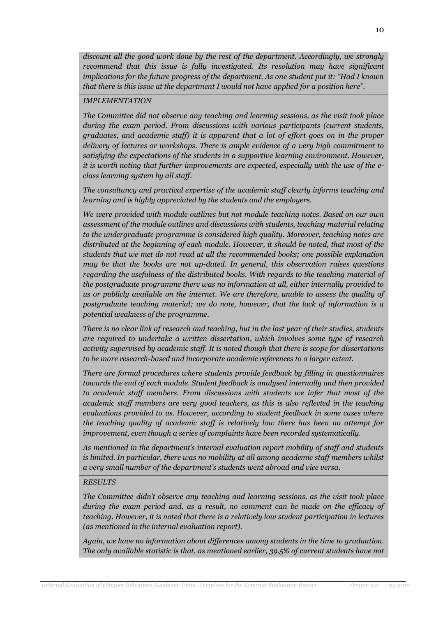*discount all the good work done by the rest of the department. Accordingly, we strongly recommend that this issue is fully investigated. Its resolution may have significant implications for the future progress of the department. As one student put it: "Had I known that there is this issue at the department I would not have applied for a position here".*

#### *IMPLEMENTATION*

*The Committee did not observe any teaching and learning sessions, as the visit took place during the exam period. From discussions with various participants (current students, graduates, and academic staff) it is apparent that a lot of effort goes on in the proper delivery of lectures or workshops. There is ample evidence of a very high commitment to satisfying the expectations of the students in a supportive learning environment. However, it is worth noting that further improvements are expected, especially with the use of the eclass learning system by all staff.* 

*The consultancy and practical expertise of the academic staff clearly informs teaching and learning and is highly appreciated by the students and the employers.*

*We were provided with module outlines but not module teaching notes. Based on our own assessment of the module outlines and discussions with students, teaching material relating to the undergraduate programme is considered high quality. Moreover, teaching notes are distributed at the beginning of each module. However, it should be noted, that most of the students that we met do not read at all the recommended books; one possible explanation may be that the books are not up-dated. In general, this observation raises questions regarding the usefulness of the distributed books. With regards to the teaching material of the postgraduate programme there was no information at all, either internally provided to us or publicly available on the internet. We are therefore, unable to assess the quality of postgraduate teaching material; we do note, however, that the lack of information is a potential weakness of the programme.* 

*There is no clear link of research and teaching, but in the last year of their studies, students are required to undertake a written dissertation, which involves some type of research activity supervised by academic staff. It is noted though that there is scope for dissertations to be more research-based and incorporate academic references to a larger extent.* 

*There are formal procedures where students provide feedback by filling in questionnaires towards the end of each module. Student feedback is analysed internally and then provided to academic staff members. From discussions with students we infer that most of the academic staff members are very good teachers, as this is also reflected in the teaching evaluations provided to us. However, according to student feedback in some cases where the teaching quality of academic staff is relatively low there has been no attempt for improvement, even though a series of complaints have been recorded systematically.* 

*As mentioned in the department's internal evaluation report mobility of staff and students is limited. In particular, there was no mobility at all among academic staff members whilst a very small number of the department's students went abroad and vice versa.* 

#### *RESULTS*

*The Committee didn't observe any teaching and learning sessions, as the visit took place during the exam period and, as a result, no comment can be made on the efficacy of teaching. However, it is noted that there is a relatively low student participation in lectures (as mentioned in the internal evaluation report).* 

*Again, we have no information about differences among students in the time to graduation. The only available statistic is that, as mentioned earlier, 39.5% of current students have not*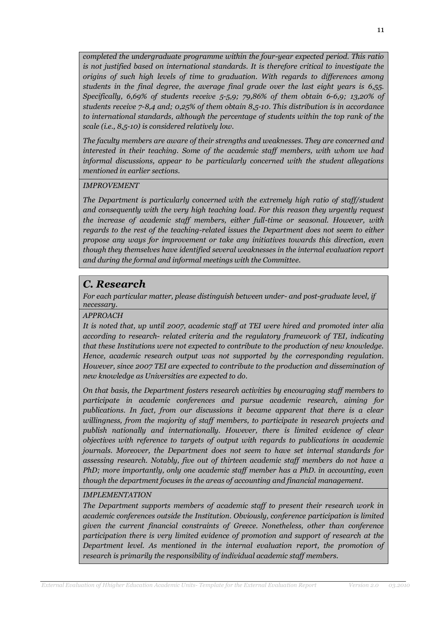*completed the undergraduate programme within the four-year expected period. This ratio is not justified based on international standards. It is therefore critical to investigate the origins of such high levels of time to graduation. With regards to differences among students in the final degree, the average final grade over the last eight years is 6,55. Specifically, 6,69% of students receive 5-5,9; 79,86% of them obtain 6-6,9; 13,20% of students receive 7-8,4 and; 0,25% of them obtain 8,5-10. This distribution is in accordance to international standards, although the percentage of students within the top rank of the scale (i.e., 8,5-10) is considered relatively low.*

*The faculty members are aware of their strengths and weaknesses. They are concerned and interested in their teaching. Some of the academic staff members, with whom we had informal discussions, appear to be particularly concerned with the student allegations mentioned in earlier sections.* 

#### *IMPROVEMENT*

*The Department is particularly concerned with the extremely high ratio of staff/student and consequently with the very high teaching load. For this reason they urgently request the increase of academic staff members, either full-time or seasonal. However, with regards to the rest of the teaching-related issues the Department does not seem to either propose any ways for improvement or take any initiatives towards this direction, even though they themselves have identified several weaknesses in the internal evaluation report and during the formal and informal meetings with the Committee.* 

# *C. Research*

*For each particular matter, please distinguish between under- and post-graduate level, if necessary.*

#### *APPROACH*

*It is noted that, up until 2007, academic staff at TEI were hired and promoted inter alia according to research- related criteria and the regulatory framework of TEI, indicating that these Institutions were not expected to contribute to the production of new knowledge. Hence, academic research output was not supported by the corresponding regulation. However, since 2007 TEI are expected to contribute to the production and dissemination of new knowledge as Universities are expected to do.*

*On that basis, the Department fosters research activities by encouraging staff members to participate in academic conferences and pursue academic research, aiming for publications. In fact, from our discussions it became apparent that there is a clear willingness, from the majority of staff members, to participate in research projects and publish nationally and internationally. However, there is limited evidence of clear objectives with reference to targets of output with regards to publications in academic journals. Moreover, the Department does not seem to have set internal standards for assessing research. Notably, five out of thirteen academic staff members do not have a PhD; more importantly, only one academic staff member has a PhD, in accounting, even though the department focuses in the areas of accounting and financial management.* 

#### *IMPLEMENTATION*

*The Department supports members of academic staff to present their research work in academic conferences outside the Institution. Obviously, conference participation is limited given the current financial constraints of Greece. Nonetheless, other than conference participation there is very limited evidence of promotion and support of research at the Department level. As mentioned in the internal evaluation report, the promotion of research is primarily the responsibility of individual academic staff members.*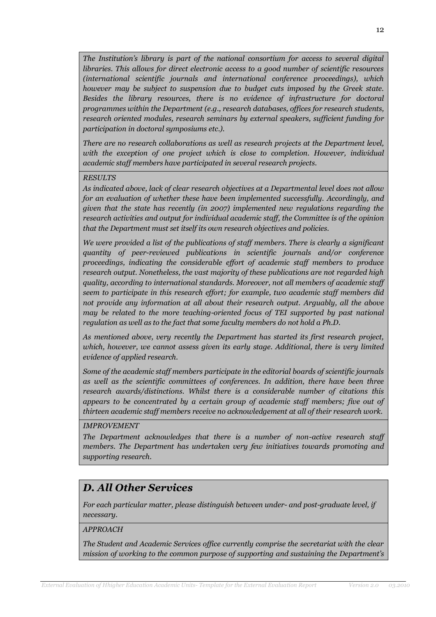*The Institution's library is part of the national consortium for access to several digital libraries. This allows for direct electronic access to a good number of scientific resources (international scientific journals and international conference proceedings), which however may be subject to suspension due to budget cuts imposed by the Greek state. Besides the library resources, there is no evidence of infrastructure for doctoral programmes within the Department (e.g., research databases, offices for research students, research oriented modules, research seminars by external speakers, sufficient funding for participation in doctoral symposiums etc.).* 

*There are no research collaborations as well as research projects at the Department level, with the exception of one project which is close to completion. However, individual academic staff members have participated in several research projects.*

#### *RESULTS*

*As indicated above, lack of clear research objectives at a Departmental level does not allow for an evaluation of whether these have been implemented successfully. Accordingly, and given that the state has recently (in 2007) implemented new regulations regarding the research activities and output for individual academic staff, the Committee is of the opinion that the Department must set itself its own research objectives and policies.*

*We were provided a list of the publications of staff members. There is clearly a significant quantity of peer-reviewed publications in scientific journals and/or conference proceedings, indicating the considerable effort of academic staff members to produce research output. Nonetheless, the vast majority of these publications are not regarded high quality, according to international standards. Moreover, not all members of academic staff seem to participate in this research effort; for example, two academic staff members did not provide any information at all about their research output. Arguably, all the above may be related to the more teaching-oriented focus of TEI supported by past national regulation as well as to the fact that some faculty members do not hold a Ph.D.* 

*As mentioned above, very recently the Department has started its first research project, which, however, we cannot assess given its early stage. Additional, there is very limited evidence of applied research.* 

*Some of the academic staff members participate in the editorial boards of scientific journals as well as the scientific committees of conferences. In addition, there have been three research awards/distinctions. Whilst there is a considerable number of citations this appears to be concentrated by a certain group of academic staff members; five out of thirteen academic staff members receive no acknowledgement at all of their research work.* 

#### *IMPROVEMENT*

*The Department acknowledges that there is a number of non-active research staff members. The Department has undertaken very few initiatives towards promoting and supporting research.* 

# *D. All Other Services*

*For each particular matter, please distinguish between under- and post-graduate level, if necessary.*

#### *APPROACH*

*The Student and Academic Services office currently comprise the secretariat with the clear mission of working to the common purpose of supporting and sustaining the Department's*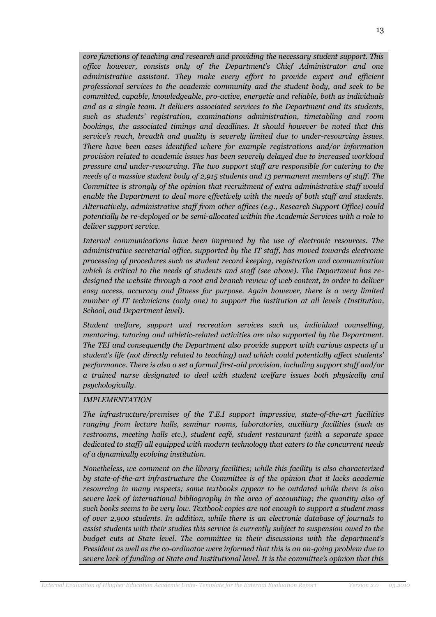*core functions of teaching and research and providing the necessary student support. This office however, consists only of the Department's Chief Administrator and one administrative assistant. They make every effort to provide expert and efficient professional services to the academic community and the student body, and seek to be committed, capable, knowledgeable, pro-active, energetic and reliable, both as individuals and as a single team. It delivers associated services to the Department and its students, such as students' registration, examinations administration, timetabling and room bookings, the associated timings and deadlines. It should however be noted that this service's reach, breadth and quality is severely limited due to under-resourcing issues. There have been cases identified where for example registrations and/or information provision related to academic issues has been severely delayed due to increased workload pressure and under-resourcing. The two support staff are responsible for catering to the needs of a massive student body of 2,915 students and 13 permanent members of staff. The Committee is strongly of the opinion that recruitment of extra administrative staff would enable the Department to deal more effectively with the needs of both staff and students. Alternatively, administrative staff from other offices (e.g., Research Support Office) could potentially be re-deployed or be semi-allocated within the Academic Services with a role to deliver support service.*

*Internal communications have been improved by the use of electronic resources. The administrative secretarial office, supported by the IT staff, has moved towards electronic processing of procedures such as student record keeping, registration and communication which is critical to the needs of students and staff (see above). The Department has redesigned the website through a root and branch review of web content, in order to deliver easy access, accuracy and fitness for purpose. Again however, there is a very limited number of IT technicians (only one) to support the institution at all levels (Institution, School, and Department level).*

*Student welfare, support and recreation services such as, individual counselling, mentoring, tutoring and athletic-related activities are also supported by the Department. The TEI and consequently the Department also provide support with various aspects of a student's life (not directly related to teaching) and which could potentially affect students' performance. There is also a set a formal first-aid provision, including support staff and/or a trained nurse designated to deal with student welfare issues both physically and psychologically.* 

#### *IMPLEMENTATION*

*The infrastructure/premises of the T.E.I support impressive, state-of-the-art facilities ranging from lecture halls, seminar rooms, laboratories, auxiliary facilities (such as restrooms, meeting halls etc.), student café, student restaurant (with a separate space dedicated to staff) all equipped with modern technology that caters to the concurrent needs of a dynamically evolving institution.* 

*Nonetheless, we comment on the library facilities; while this facility is also characterized by state-of-the-art infrastructure the Committee is of the opinion that it lacks academic resourcing in many respects; some textbooks appear to be outdated while there is also severe lack of international bibliography in the area of accounting; the quantity also of such books seems to be very low. Textbook copies are not enough to support a student mass of over 2,900 students. In addition, while there is an electronic database of journals to assist students with their studies this service is currently subject to suspension owed to the budget cuts at State level. The committee in their discussions with the department's President as well as the co-ordinator were informed that this is an on-going problem due to severe lack of funding at State and Institutional level. It is the committee's opinion that this*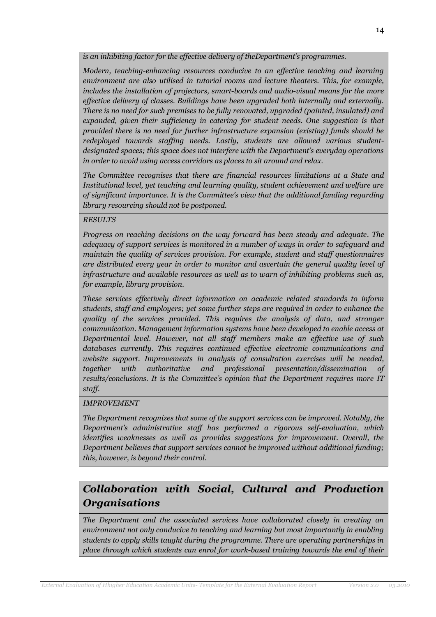*is an inhibiting factor for the effective delivery of theDepartment's programmes.*

*Modern, teaching-enhancing resources conducive to an effective teaching and learning environment are also utilised in tutorial rooms and lecture theaters. This, for example, includes the installation of projectors, smart-boards and audio-visual means for the more effective delivery of classes. Buildings have been upgraded both internally and externally. There is no need for such premises to be fully renovated, upgraded (painted, insulated) and expanded, given their sufficiency in catering for student needs. One suggestion is that provided there is no need for further infrastructure expansion (existing) funds should be redeployed towards staffing needs. Lastly, students are allowed various studentdesignated spaces; this space does not interfere with the Department's everyday operations in order to avoid using access corridors as places to sit around and relax.* 

*The Committee recognises that there are financial resources limitations at a State and Institutional level, yet teaching and learning quality, student achievement and welfare are of significant importance. It is the Committee's view that the additional funding regarding library resourcing should not be postponed.* 

# *RESULTS*

*Progress on reaching decisions on the way forward has been steady and adequate. The adequacy of support services is monitored in a number of ways in order to safeguard and maintain the quality of services provision. For example, student and staff questionnaires are distributed every year in order to monitor and ascertain the general quality level of infrastructure and available resources as well as to warn of inhibiting problems such as, for example, library provision.* 

*These services effectively direct information on academic related standards to inform students, staff and employers; yet some further steps are required in order to enhance the quality of the services provided. This requires the analysis of data, and stronger communication. Management information systems have been developed to enable access at Departmental level. However, not all staff members make an effective use of such databases currently. This requires continued effective electronic communications and website support. Improvements in analysis of consultation exercises will be needed, together with authoritative and professional presentation/dissemination of results/conclusions. It is the Committee's opinion that the Department requires more IT staff.*

# *IMPROVEMENT*

*The Department recognizes that some of the support services can be improved. Notably, the Department's administrative staff has performed a rigorous self-evaluation, which identifies weaknesses as well as provides suggestions for improvement. Overall, the Department believes that support services cannot be improved without additional funding; this, however, is beyond their control.* 

# *Collaboration with Social, Cultural and Production Organisations*

*The Department and the associated services have collaborated closely in creating an environment not only conducive to teaching and learning but most importantly in enabling students to apply skills taught during the programme. There are operating partnerships in place through which students can enrol for work-based training towards the end of their*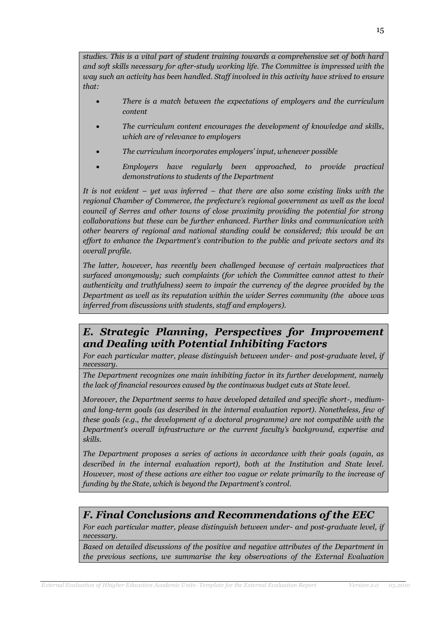*studies. This is a vital part of student training towards a comprehensive set of both hard*  and soft skills necessary for after-study working life. The Committee is *impressed with the way such an activity has been handled. Staff involved in this activity have strived to ensure that:* 

- *There is a match between the expectations of employers and the curriculum content*
- *The curriculum content encourages the development of knowledge and skills, which are of relevance to employers*
- *The curriculum incorporates employers' input, whenever possible*
- *Employers have regularly been approached, to provide practical demonstrations to students of the Department*

*It is not evident – yet was inferred – that there are also some existing links with the regional Chamber of Commerce, the prefecture's regional government as well as the local council of Serres and other towns of close proximity providing the potential for strong collaborations but these can be further enhanced. Further links and communication with other bearers of regional and national standing could be considered; this would be an effort to enhance the Department's contribution to the public and private sectors and its overall profile.*

*The latter, however, has recently been challenged because of certain malpractices that surfaced anonymously; such complaints (for which the Committee cannot attest to their authenticity and truthfulness) seem to impair the currency of the degree provided by the Department as well as its reputation within the wider Serres community (the above was inferred from discussions with students, staff and employers).*

# *E. Strategic Planning, Perspectives for Improvement and Dealing with Potential Inhibiting Factors*

*For each particular matter, please distinguish between under- and post-graduate level, if necessary.* 

*The Department recognizes one main inhibiting factor in its further development, namely the lack of financial resources caused by the continuous budget cuts at State level.* 

*Moreover, the Department seems to have developed detailed and specific short-, mediumand long-term goals (as described in the internal evaluation report). Nonetheless, few of these goals (e.g., the development of a doctoral programme) are not compatible with the Department's overall infrastructure or the current faculty's background, expertise and skills.*

*The Department proposes a series of actions in accordance with their goals (again, as described in the internal evaluation report), both at the Institution and State level. However, most of these actions are either too vague or relate primarily to the increase of funding by the State, which is beyond the Department's control.* 

# *F. Final Conclusions and Recommendations of the EEC*

*For each particular matter, please distinguish between under- and post-graduate level, if necessary.*

*Based on detailed discussions of the positive and negative attributes of the Department in the previous sections, we summarise the key observations of the External Evaluation*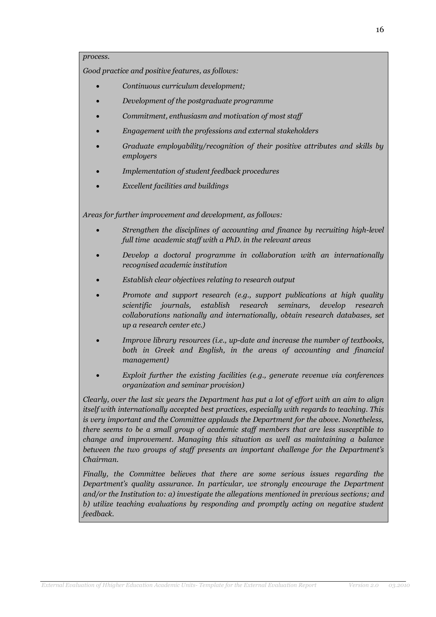#### *process.*

*Good practice and positive features, as follows:*

- *Continuous curriculum development;*
- *Development of the postgraduate programme*
- *Commitment, enthusiasm and motivation of most staff*
- *Engagement with the professions and external stakeholders*
- *Graduate employability/recognition of their positive attributes and skills by employers*
- *Implementation of student feedback procedures*
- *Excellent facilities and buildings*

*Areas for further improvement and development, as follows:*

- *Strengthen the disciplines of accounting and finance by recruiting high-level full time academic staff with a PhD. in the relevant areas*
- *Develop a doctoral programme in collaboration with an internationally recognised academic institution*
- *Establish clear objectives relating to research output*
- *Promote and support research (e.g., support publications at high quality scientific journals, establish research seminars, develop research collaborations nationally and internationally, obtain research databases, set up a research center etc.)*
- *Improve library resources (i.e., up-date and increase the number of textbooks, both in Greek and English, in the areas of accounting and financial management)*
- *Exploit further the existing facilities (e.g., generate revenue via conferences organization and seminar provision)*

*Clearly, over the last six years the Department has put a lot of effort with an aim to align itself with internationally accepted best practices, especially with regards to teaching. This is very important and the Committee applauds the Department for the above. Nonetheless, there seems to be a small group of academic staff members that are less susceptible to change and improvement. Managing this situation as well as maintaining a balance between the two groups of staff presents an important challenge for the Department's Chairman.* 

*Finally, the Committee believes that there are some serious issues regarding the Department's quality assurance. In particular, we strongly encourage the Department and/or the Institution to: a) investigate the allegations mentioned in previous sections; and b) utilize teaching evaluations by responding and promptly acting on negative student feedback.*